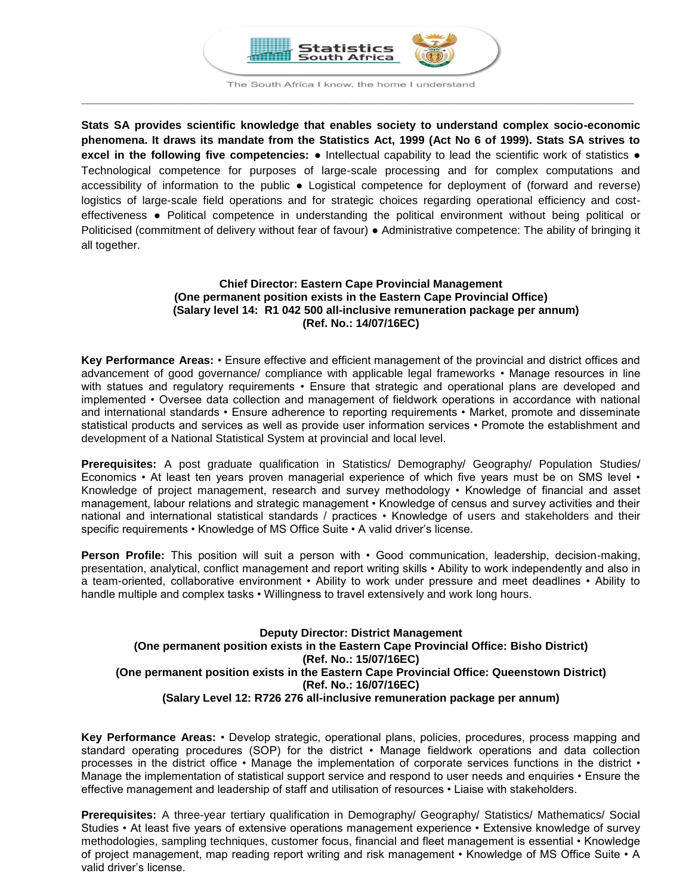

The South Africa I know, the home I understand **\_\_\_\_\_\_\_\_\_\_\_\_\_\_\_\_\_\_\_\_\_\_\_\_\_\_\_\_\_\_\_\_\_\_\_\_\_\_\_\_\_\_\_\_\_\_\_\_\_\_\_\_\_\_\_\_\_\_\_\_\_\_\_\_\_\_\_\_\_\_\_\_\_\_\_\_\_\_\_\_\_\_\_\_\_\_\_\_**

**Stats SA provides scientific knowledge that enables society to understand complex socio-economic phenomena. It draws its mandate from the Statistics Act, 1999 (Act No 6 of 1999). Stats SA strives to excel in the following five competencies:** ● Intellectual capability to lead the scientific work of statistics ● Technological competence for purposes of large-scale processing and for complex computations and accessibility of information to the public ● Logistical competence for deployment of (forward and reverse) logistics of large-scale field operations and for strategic choices regarding operational efficiency and costeffectiveness ● Political competence in understanding the political environment without being political or Politicised (commitment of delivery without fear of favour) ● Administrative competence: The ability of bringing it all together.

## **Chief Director: Eastern Cape Provincial Management (One permanent position exists in the Eastern Cape Provincial Office) (Salary level 14: R1 042 500 all-inclusive remuneration package per annum) (Ref. No.: 14/07/16EC)**

**Key Performance Areas:** • Ensure effective and efficient management of the provincial and district offices and advancement of good governance/ compliance with applicable legal frameworks • Manage resources in line with statues and regulatory requirements • Ensure that strategic and operational plans are developed and implemented • Oversee data collection and management of fieldwork operations in accordance with national and international standards • Ensure adherence to reporting requirements • Market, promote and disseminate statistical products and services as well as provide user information services • Promote the establishment and development of a National Statistical System at provincial and local level.

**Prerequisites:** A post graduate qualification in Statistics/ Demography/ Geography/ Population Studies/ Economics • At least ten years proven managerial experience of which five years must be on SMS level • Knowledge of project management, research and survey methodology • Knowledge of financial and asset management, labour relations and strategic management • Knowledge of census and survey activities and their national and international statistical standards / practices • Knowledge of users and stakeholders and their specific requirements • Knowledge of MS Office Suite • A valid driver's license.

Person Profile: This position will suit a person with • Good communication, leadership, decision-making, presentation, analytical, conflict management and report writing skills • Ability to work independently and also in a team-oriented, collaborative environment • Ability to work under pressure and meet deadlines • Ability to handle multiple and complex tasks • Willingness to travel extensively and work long hours.

## **Deputy Director: District Management (One permanent position exists in the Eastern Cape Provincial Office: Bisho District) (Ref. No.: 15/07/16EC) (One permanent position exists in the Eastern Cape Provincial Office: Queenstown District) (Ref. No.: 16/07/16EC) (Salary Level 12: R726 276 all-inclusive remuneration package per annum)**

**Key Performance Areas:** • Develop strategic, operational plans, policies, procedures, process mapping and standard operating procedures (SOP) for the district • Manage fieldwork operations and data collection processes in the district office • Manage the implementation of corporate services functions in the district • Manage the implementation of statistical support service and respond to user needs and enquiries • Ensure the effective management and leadership of staff and utilisation of resources • Liaise with stakeholders.

**Prerequisites:** A three-year tertiary qualification in Demography/ Geography/ Statistics/ Mathematics/ Social Studies • At least five years of extensive operations management experience • Extensive knowledge of survey methodologies, sampling techniques, customer focus, financial and fleet management is essential • Knowledge of project management, map reading report writing and risk management • Knowledge of MS Office Suite • A valid driver's license.